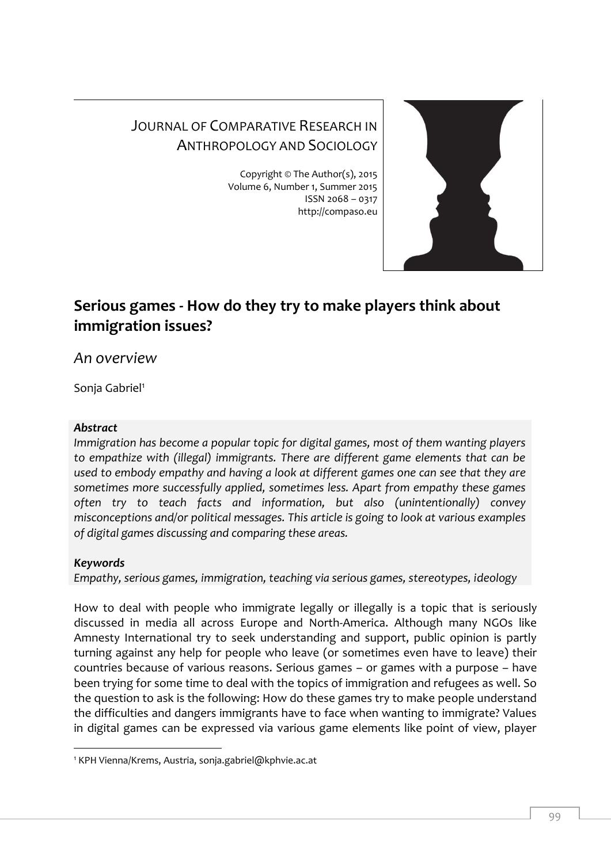# JOURNAL OF COMPARATIVE RESEARCH IN ANTHROPOLOGY AND SOCIOLOGY

Copyright © The Author(s), 2015 Volume 6, Number 1, Summer 2015 ISSN 2068 – 0317 http://compaso.eu



# **Serious games - How do they try to make players think about immigration issues?**

*An overview*

Sonja Gabriel<sup>1</sup>

# *Abstract*

*Immigration has become a popular topic for digital games, most of them wanting players to empathize with (illegal) immigrants. There are different game elements that can be used to embody empathy and having a look at different games one can see that they are sometimes more successfully applied, sometimes less. Apart from empathy these games often try to teach facts and information, but also (unintentionally) convey misconceptions and/or political messages. This article is going to look at various examples of digital games discussing and comparing these areas.*

# *Keywords*

-

*Empathy, serious games, immigration, teaching via serious games, stereotypes, ideology*

How to deal with people who immigrate legally or illegally is a topic that is seriously discussed in media all across Europe and North-America. Although many NGOs like Amnesty International try to seek understanding and support, public opinion is partly turning against any help for people who leave (or sometimes even have to leave) their countries because of various reasons. Serious games – or games with a purpose – have been trying for some time to deal with the topics of immigration and refugees as well. So the question to ask is the following: How do these games try to make people understand the difficulties and dangers immigrants have to face when wanting to immigrate? Values in digital games can be expressed via various game elements like point of view, player

<sup>1</sup> KPH Vienna/Krems, Austria, sonja.gabriel@kphvie.ac.at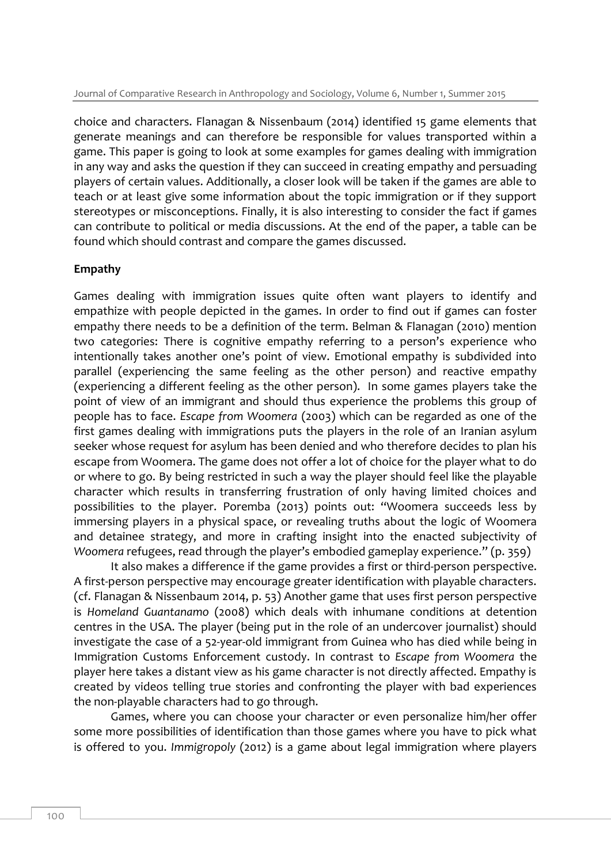choice and characters. Flanagan & Nissenbaum (2014) identified 15 game elements that generate meanings and can therefore be responsible for values transported within a game. This paper is going to look at some examples for games dealing with immigration in any way and asks the question if they can succeed in creating empathy and persuading players of certain values. Additionally, a closer look will be taken if the games are able to teach or at least give some information about the topic immigration or if they support stereotypes or misconceptions. Finally, it is also interesting to consider the fact if games can contribute to political or media discussions. At the end of the paper, a table can be found which should contrast and compare the games discussed.

### **Empathy**

Games dealing with immigration issues quite often want players to identify and empathize with people depicted in the games. In order to find out if games can foster empathy there needs to be a definition of the term. Belman & Flanagan (2010) mention two categories: There is cognitive empathy referring to a person's experience who intentionally takes another one's point of view. Emotional empathy is subdivided into parallel (experiencing the same feeling as the other person) and reactive empathy (experiencing a different feeling as the other person). In some games players take the point of view of an immigrant and should thus experience the problems this group of people has to face. *Escape from Woomera* (2003) which can be regarded as one of the first games dealing with immigrations puts the players in the role of an Iranian asylum seeker whose request for asylum has been denied and who therefore decides to plan his escape from Woomera. The game does not offer a lot of choice for the player what to do or where to go. By being restricted in such a way the player should feel like the playable character which results in transferring frustration of only having limited choices and possibilities to the player. Poremba (2013) points out: "Woomera succeeds less by immersing players in a physical space, or revealing truths about the logic of Woomera and detainee strategy, and more in crafting insight into the enacted subjectivity of *Woomera* refugees, read through the player's embodied gameplay experience." (p. 359)

It also makes a difference if the game provides a first or third-person perspective. A first-person perspective may encourage greater identification with playable characters. (cf. Flanagan & Nissenbaum 2014, p. 53) Another game that uses first person perspective is *Homeland Guantanamo* (2008) which deals with inhumane conditions at detention centres in the USA. The player (being put in the role of an undercover journalist) should investigate the case of a 52-year-old immigrant from Guinea who has died while being in Immigration Customs Enforcement custody. In contrast to *Escape from Woomera* the player here takes a distant view as his game character is not directly affected. Empathy is created by videos telling true stories and confronting the player with bad experiences the non-playable characters had to go through.

Games, where you can choose your character or even personalize him/her offer some more possibilities of identification than those games where you have to pick what is offered to you. *Immigropoly* (2012) is a game about legal immigration where players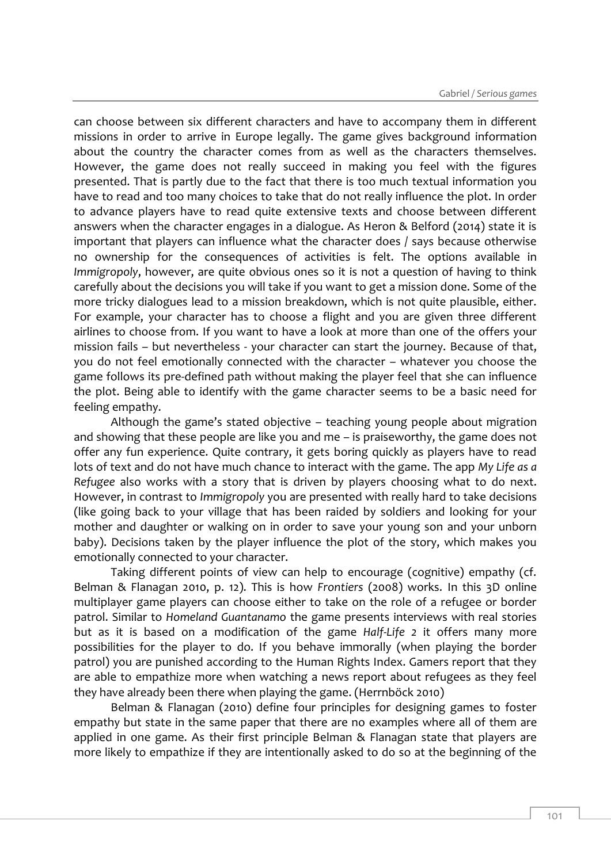can choose between six different characters and have to accompany them in different missions in order to arrive in Europe legally. The game gives background information about the country the character comes from as well as the characters themselves. However, the game does not really succeed in making you feel with the figures presented. That is partly due to the fact that there is too much textual information you have to read and too many choices to take that do not really influence the plot. In order to advance players have to read quite extensive texts and choose between different answers when the character engages in a dialogue. As Heron & Belford (2014) state it is important that players can influence what the character does / says because otherwise no ownership for the consequences of activities is felt. The options available in *Immigropoly*, however, are quite obvious ones so it is not a question of having to think carefully about the decisions you will take if you want to get a mission done. Some of the more tricky dialogues lead to a mission breakdown, which is not quite plausible, either. For example, your character has to choose a flight and you are given three different airlines to choose from. If you want to have a look at more than one of the offers your mission fails – but nevertheless - your character can start the journey. Because of that, you do not feel emotionally connected with the character – whatever you choose the game follows its pre-defined path without making the player feel that she can influence the plot. Being able to identify with the game character seems to be a basic need for feeling empathy.

Although the game's stated objective – teaching young people about migration and showing that these people are like you and me – is praiseworthy, the game does not offer any fun experience. Quite contrary, it gets boring quickly as players have to read lots of text and do not have much chance to interact with the game. The app *My Life as a Refugee* also works with a story that is driven by players choosing what to do next. However, in contrast to *Immigropoly* you are presented with really hard to take decisions (like going back to your village that has been raided by soldiers and looking for your mother and daughter or walking on in order to save your young son and your unborn baby). Decisions taken by the player influence the plot of the story, which makes you emotionally connected to your character.

Taking different points of view can help to encourage (cognitive) empathy (cf. Belman & Flanagan 2010, p. 12). This is how *Frontiers* (2008) works. In this 3D online multiplayer game players can choose either to take on the role of a refugee or border patrol. Similar to *Homeland Guantanamo* the game presents interviews with real stories but as it is based on a modification of the game *Half-Life 2* it offers many more possibilities for the player to do. If you behave immorally (when playing the border patrol) you are punished according to the Human Rights Index. Gamers report that they are able to empathize more when watching a news report about refugees as they feel they have already been there when playing the game. (Herrnböck 2010)

Belman & Flanagan (2010) define four principles for designing games to foster empathy but state in the same paper that there are no examples where all of them are applied in one game. As their first principle Belman & Flanagan state that players are more likely to empathize if they are intentionally asked to do so at the beginning of the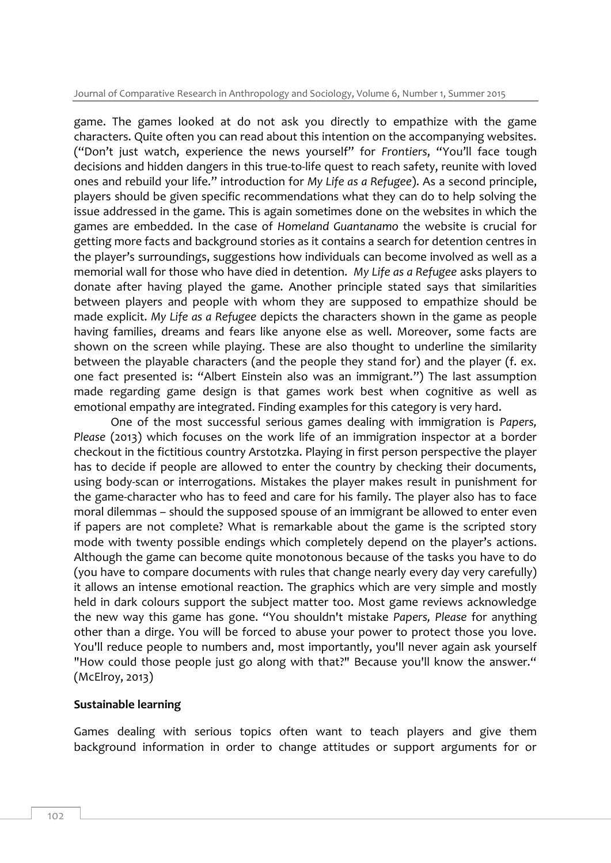game. The games looked at do not ask you directly to empathize with the game characters. Quite often you can read about this intention on the accompanying websites. ("Don't just watch, experience the news yourself" for *Frontiers*, "You'll face tough decisions and hidden dangers in this true-to-life quest to reach safety, reunite with loved ones and rebuild your life." introduction for *My Life as a Refugee*). As a second principle, players should be given specific recommendations what they can do to help solving the issue addressed in the game. This is again sometimes done on the websites in which the games are embedded. In the case of *Homeland Guantanamo* the website is crucial for getting more facts and background stories as it contains a search for detention centres in the player's surroundings, suggestions how individuals can become involved as well as a memorial wall for those who have died in detention. *My Life as a Refugee* asks players to donate after having played the game. Another principle stated says that similarities between players and people with whom they are supposed to empathize should be made explicit. *My Life as a Refugee* depicts the characters shown in the game as people having families, dreams and fears like anyone else as well. Moreover, some facts are shown on the screen while playing. These are also thought to underline the similarity between the playable characters (and the people they stand for) and the player (f. ex. one fact presented is: "Albert Einstein also was an immigrant.") The last assumption made regarding game design is that games work best when cognitive as well as emotional empathy are integrated. Finding examples for this category is very hard.

One of the most successful serious games dealing with immigration is *Papers, Please* (2013) which focuses on the work life of an immigration inspector at a border checkout in the fictitious country Arstotzka. Playing in first person perspective the player has to decide if people are allowed to enter the country by checking their documents, using body-scan or interrogations. Mistakes the player makes result in punishment for the game-character who has to feed and care for his family. The player also has to face moral dilemmas – should the supposed spouse of an immigrant be allowed to enter even if papers are not complete? What is remarkable about the game is the scripted story mode with twenty possible endings which completely depend on the player's actions. Although the game can become quite monotonous because of the tasks you have to do (you have to compare documents with rules that change nearly every day very carefully) it allows an intense emotional reaction. The graphics which are very simple and mostly held in dark colours support the subject matter too. Most game reviews acknowledge the new way this game has gone. "You shouldn't mistake *Papers, Please* for anything other than a dirge. You will be forced to abuse your power to protect those you love. You'll reduce people to numbers and, most importantly, you'll never again ask yourself "How could those people just go along with that?" Because you'll know the answer." (McElroy, 2013)

#### **Sustainable learning**

Games dealing with serious topics often want to teach players and give them background information in order to change attitudes or support arguments for or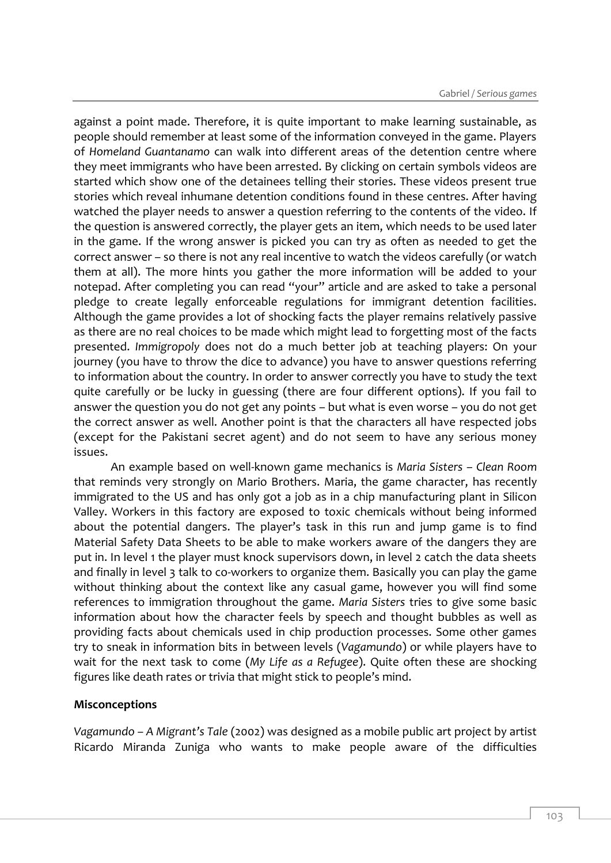against a point made. Therefore, it is quite important to make learning sustainable, as people should remember at least some of the information conveyed in the game. Players of *Homeland Guantanamo* can walk into different areas of the detention centre where they meet immigrants who have been arrested. By clicking on certain symbols videos are started which show one of the detainees telling their stories. These videos present true stories which reveal inhumane detention conditions found in these centres. After having watched the player needs to answer a question referring to the contents of the video. If the question is answered correctly, the player gets an item, which needs to be used later in the game. If the wrong answer is picked you can try as often as needed to get the correct answer – so there is not any real incentive to watch the videos carefully (or watch them at all). The more hints you gather the more information will be added to your notepad. After completing you can read "your" article and are asked to take a personal pledge to create legally enforceable regulations for immigrant detention facilities. Although the game provides a lot of shocking facts the player remains relatively passive as there are no real choices to be made which might lead to forgetting most of the facts presented. *Immigropoly* does not do a much better job at teaching players: On your journey (you have to throw the dice to advance) you have to answer questions referring to information about the country. In order to answer correctly you have to study the text quite carefully or be lucky in guessing (there are four different options). If you fail to answer the question you do not get any points – but what is even worse – you do not get the correct answer as well. Another point is that the characters all have respected jobs (except for the Pakistani secret agent) and do not seem to have any serious money issues.

An example based on well-known game mechanics is *Maria Sisters – Clean Room* that reminds very strongly on Mario Brothers. Maria, the game character, has recently immigrated to the US and has only got a job as in a chip manufacturing plant in Silicon Valley. Workers in this factory are exposed to toxic chemicals without being informed about the potential dangers. The player's task in this run and jump game is to find Material Safety Data Sheets to be able to make workers aware of the dangers they are put in. In level 1 the player must knock supervisors down, in level 2 catch the data sheets and finally in level 3 talk to co-workers to organize them. Basically you can play the game without thinking about the context like any casual game, however you will find some references to immigration throughout the game. *Maria Sisters* tries to give some basic information about how the character feels by speech and thought bubbles as well as providing facts about chemicals used in chip production processes. Some other games try to sneak in information bits in between levels (*Vagamundo*) or while players have to wait for the next task to come (*My Life as a Refugee*). Quite often these are shocking figures like death rates or trivia that might stick to people's mind.

#### **Misconceptions**

*Vagamundo – A Migrant's Tale* (2002) was designed as a mobile public art project by artist Ricardo Miranda Zuniga who wants to make people aware of the difficulties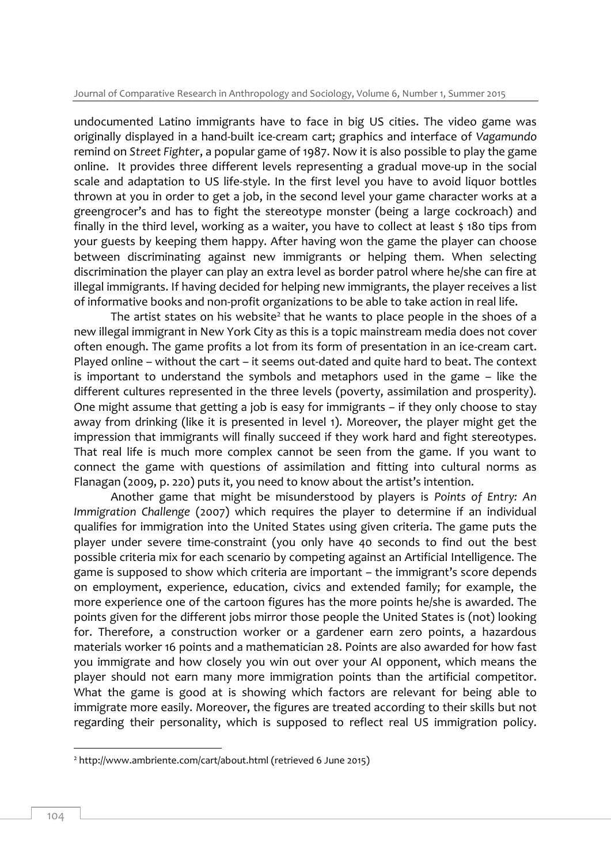undocumented Latino immigrants have to face in big US cities. The video game was originally displayed in a hand-built ice-cream cart; graphics and interface of *Vagamundo* remind on *Street Fighter*, a popular game of 1987. Now it is also possible to play the game online. It provides three different levels representing a gradual move-up in the social scale and adaptation to US life-style. In the first level you have to avoid liquor bottles thrown at you in order to get a job, in the second level your game character works at a greengrocer's and has to fight the stereotype monster (being a large cockroach) and finally in the third level, working as a waiter, you have to collect at least  $\frac{1}{5}$  180 tips from your guests by keeping them happy. After having won the game the player can choose between discriminating against new immigrants or helping them. When selecting discrimination the player can play an extra level as border patrol where he/she can fire at illegal immigrants. If having decided for helping new immigrants, the player receives a list of informative books and non-profit organizations to be able to take action in real life.

The artist states on his website<sup>2</sup> that he wants to place people in the shoes of a new illegal immigrant in New York City as this is a topic mainstream media does not cover often enough. The game profits a lot from its form of presentation in an ice-cream cart. Played online – without the cart – it seems out-dated and quite hard to beat. The context is important to understand the symbols and metaphors used in the game – like the different cultures represented in the three levels (poverty, assimilation and prosperity). One might assume that getting a job is easy for immigrants – if they only choose to stay away from drinking (like it is presented in level 1). Moreover, the player might get the impression that immigrants will finally succeed if they work hard and fight stereotypes. That real life is much more complex cannot be seen from the game. If you want to connect the game with questions of assimilation and fitting into cultural norms as Flanagan (2009, p. 220) puts it, you need to know about the artist's intention.

Another game that might be misunderstood by players is *Points of Entry: An Immigration Challenge* (2007) which requires the player to determine if an individual qualifies for immigration into the United States using given criteria. The game puts the player under severe time-constraint (you only have 40 seconds to find out the best possible criteria mix for each scenario by competing against an Artificial Intelligence. The game is supposed to show which criteria are important – the immigrant's score depends on employment, experience, education, civics and extended family; for example, the more experience one of the cartoon figures has the more points he/she is awarded. The points given for the different jobs mirror those people the United States is (not) looking for. Therefore, a construction worker or a gardener earn zero points, a hazardous materials worker 16 points and a mathematician 28. Points are also awarded for how fast you immigrate and how closely you win out over your AI opponent, which means the player should not earn many more immigration points than the artificial competitor. What the game is good at is showing which factors are relevant for being able to immigrate more easily. Moreover, the figures are treated according to their skills but not regarding their personality, which is supposed to reflect real US immigration policy.

-

<sup>2</sup> http://www.ambriente.com/cart/about.html (retrieved 6 June 2015)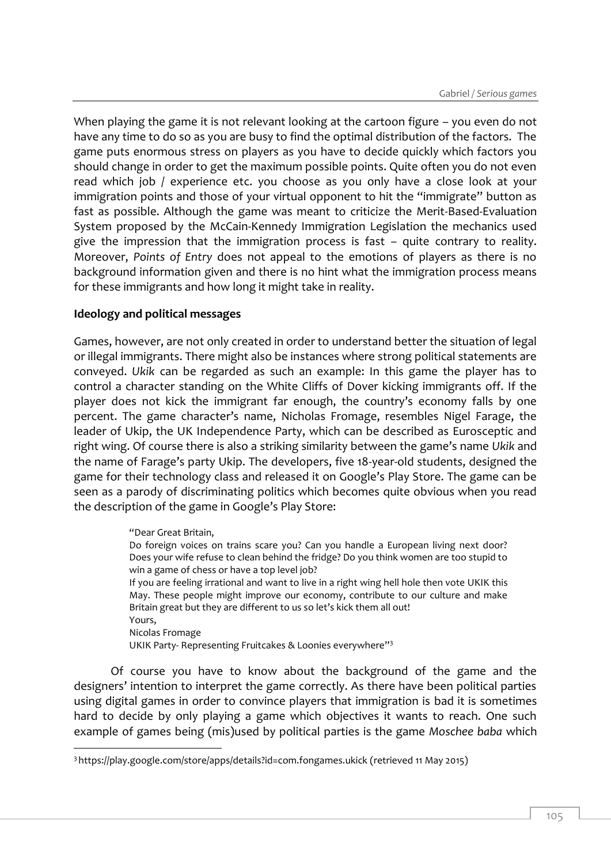When playing the game it is not relevant looking at the cartoon figure – you even do not have any time to do so as you are busy to find the optimal distribution of the factors. The game puts enormous stress on players as you have to decide quickly which factors you should change in order to get the maximum possible points. Quite often you do not even read which job / experience etc. you choose as you only have a close look at your immigration points and those of your virtual opponent to hit the "immigrate" button as fast as possible. Although the game was meant to criticize the Merit-Based-Evaluation System proposed by the McCain-Kennedy Immigration Legislation the mechanics used give the impression that the immigration process is fast – quite contrary to reality. Moreover, *Points of Entry* does not appeal to the emotions of players as there is no background information given and there is no hint what the immigration process means for these immigrants and how long it might take in reality.

## **Ideology and political messages**

-

Games, however, are not only created in order to understand better the situation of legal or illegal immigrants. There might also be instances where strong political statements are conveyed. *Ukik* can be regarded as such an example: In this game the player has to control a character standing on the White Cliffs of Dover kicking immigrants off. If the player does not kick the immigrant far enough, the country's economy falls by one percent. The game character's name, Nicholas Fromage, resembles Nigel Farage, the leader of Ukip, the UK Independence Party, which can be described as Eurosceptic and right wing. Of course there is also a striking similarity between the game's name *Ukik* and the name of Farage's party Ukip. The developers, five 18-year-old students, designed the game for their technology class and released it on Google's Play Store. The game can be seen as a parody of discriminating politics which becomes quite obvious when you read the description of the game in Google's Play Store:

> "Dear Great Britain, Do foreign voices on trains scare you? Can you handle a European living next door? Does your wife refuse to clean behind the fridge? Do you think women are too stupid to win a game of chess or have a top level job? If you are feeling irrational and want to live in a right wing hell hole then vote UKIK this May. These people might improve our economy, contribute to our culture and make Britain great but they are different to us so let's kick them all out! Yours, Nicolas Fromage UKIK Party- Representing Fruitcakes & Loonies everywhere"<sup>3</sup>

Of course you have to know about the background of the game and the designers' intention to interpret the game correctly. As there have been political parties using digital games in order to convince players that immigration is bad it is sometimes hard to decide by only playing a game which objectives it wants to reach. One such example of games being (mis)used by political parties is the game *Moschee baba* which

<sup>3</sup> https://play.google.com/store/apps/details?id=com.fongames.ukick (retrieved 11 May 2015)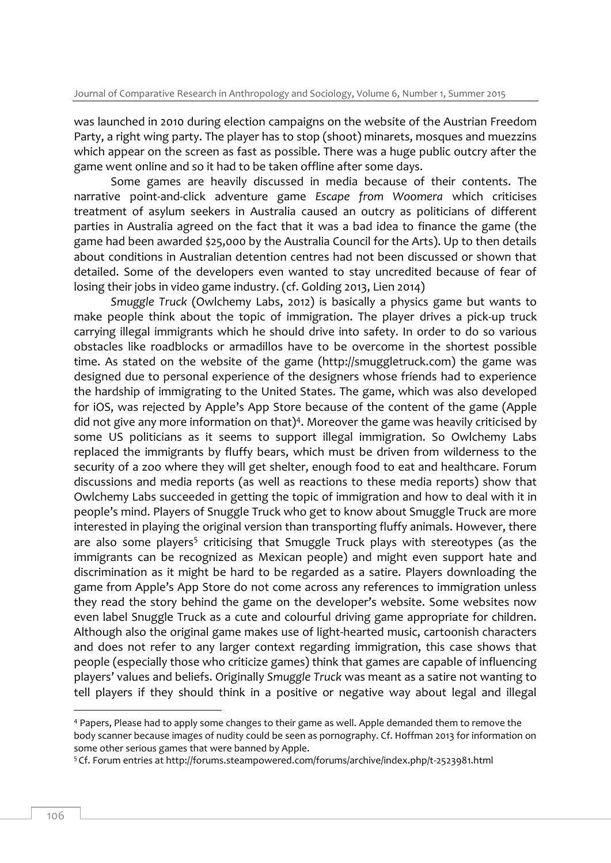was launched in 2010 during election campaigns on the website of the Austrian Freedom Party, a right wing party. The player has to stop (shoot) minarets, mosques and muezzins which appear on the screen as fast as possible. There was a huge public outcry after the game went online and so it had to be taken offline after some days.

Some games are heavily discussed in media because of their contents. The narrative point-and-click adventure game *Escape from Woomera* which criticises treatment of asylum seekers in Australia caused an outcry as politicians of different parties in Australia agreed on the fact that it was a bad idea to finance the game (the game had been awarded \$25,000 by the Australia Council for the Arts). Up to then details about conditions in Australian detention centres had not been discussed or shown that detailed. Some of the developers even wanted to stay uncredited because of fear of losing their jobs in video game industry. (cf. Golding 2013, Lien 2014)

*Smuggle Truck* (Owlchemy Labs, 2012) is basically a physics game but wants to make people think about the topic of immigration. The player drives a pick-up truck carrying illegal immigrants which he should drive into safety. In order to do so various obstacles like roadblocks or armadillos have to be overcome in the shortest possible time. As stated on the website of the game (http://smuggletruck.com) the game was designed due to personal experience of the designers whose friends had to experience the hardship of immigrating to the United States. The game, which was also developed for iOS, was rejected by Apple's App Store because of the content of the game (Apple did not give any more information on that)<sup>4</sup>. Moreover the game was heavily criticised by some US politicians as it seems to support illegal immigration. So Owlchemy Labs replaced the immigrants by fluffy bears, which must be driven from wilderness to the security of a zoo where they will get shelter, enough food to eat and healthcare. Forum discussions and media reports (as well as reactions to these media reports) show that Owlchemy Labs succeeded in getting the topic of immigration and how to deal with it in people's mind. Players of Snuggle Truck who get to know about Smuggle Truck are more interested in playing the original version than transporting fluffy animals. However, there are also some players<sup>5</sup> criticising that Smuggle Truck plays with stereotypes (as the immigrants can be recognized as Mexican people) and might even support hate and discrimination as it might be hard to be regarded as a satire. Players downloading the game from Apple's App Store do not come across any references to immigration unless they read the story behind the game on the developer's website. Some websites now even label Snuggle Truck as a cute and colourful driving game appropriate for children. Although also the original game makes use of light-hearted music, cartoonish characters and does not refer to any larger context regarding immigration, this case shows that people (especially those who criticize games) think that games are capable of influencing players' values and beliefs. Originally *Smuggle Truck* was meant as a satire not wanting to tell players if they should think in a positive or negative way about legal and illegal

-

<sup>4</sup> Papers, Please had to apply some changes to their game as well. Apple demanded them to remove the body scanner because images of nudity could be seen as pornography. Cf. Hoffman 2013 for information on some other serious games that were banned by Apple.

<sup>5</sup> Cf. Forum entries at http://forums.steampowered.com/forums/archive/index.php/t-2523981.html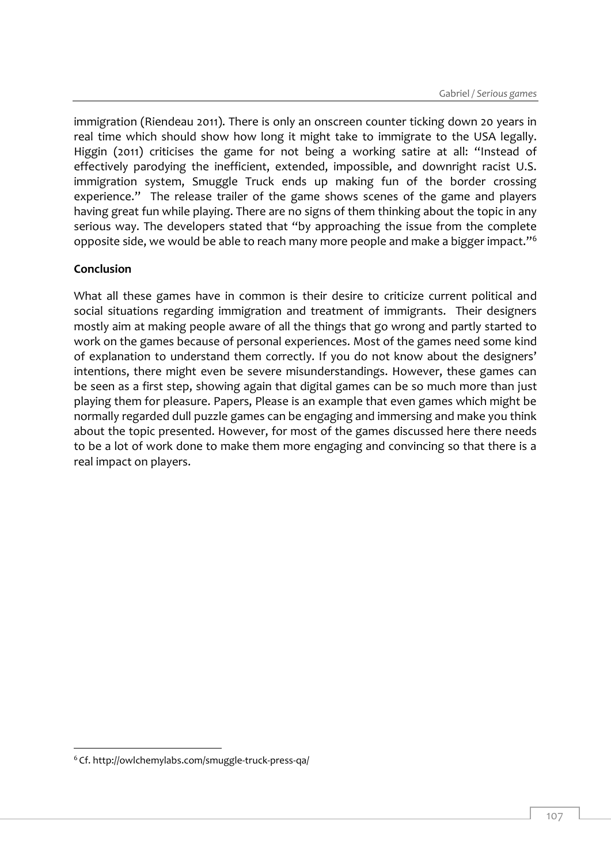immigration (Riendeau 2011). There is only an onscreen counter ticking down 20 years in real time which should show how long it might take to immigrate to the USA legally. Higgin (2011) criticises the game for not being a working satire at all: "Instead of effectively parodying the inefficient, extended, impossible, and downright racist U.S. immigration system, Smuggle Truck ends up making fun of the border crossing experience." The release trailer of the game shows scenes of the game and players having great fun while playing. There are no signs of them thinking about the topic in any serious way. The developers stated that "by approaching the issue from the complete opposite side, we would be able to reach many more people and make a bigger impact."<sup>6</sup>

## **Conclusion**

What all these games have in common is their desire to criticize current political and social situations regarding immigration and treatment of immigrants. Their designers mostly aim at making people aware of all the things that go wrong and partly started to work on the games because of personal experiences. Most of the games need some kind of explanation to understand them correctly. If you do not know about the designers' intentions, there might even be severe misunderstandings. However, these games can be seen as a first step, showing again that digital games can be so much more than just playing them for pleasure. Papers, Please is an example that even games which might be normally regarded dull puzzle games can be engaging and immersing and make you think about the topic presented. However, for most of the games discussed here there needs to be a lot of work done to make them more engaging and convincing so that there is a real impact on players.

-

<sup>6</sup> Cf. http://owlchemylabs.com/smuggle-truck-press-qa/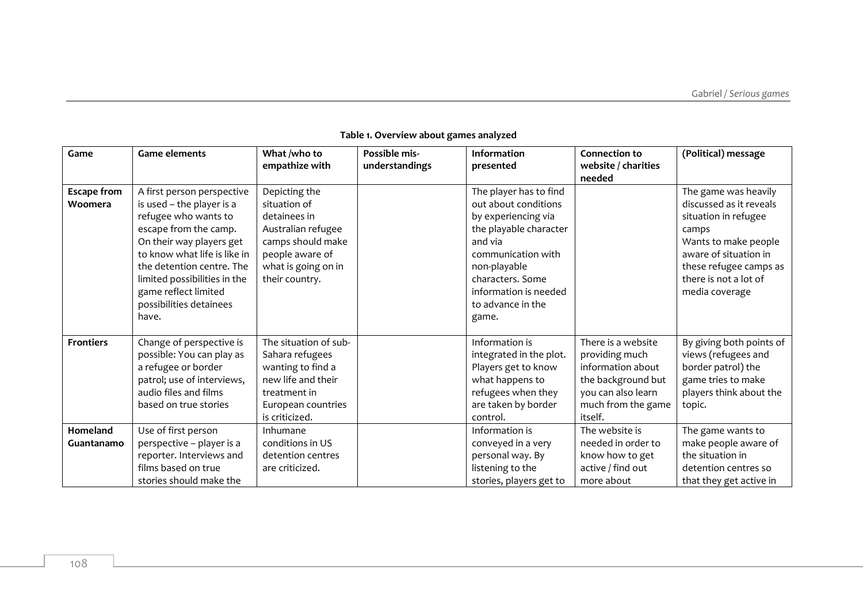| Game               | <b>Game elements</b>         | What /who to<br>empathize with | Possible mis-<br>understandings | <b>Information</b><br>presented | <b>Connection to</b><br>website / charities | (Political) message      |
|--------------------|------------------------------|--------------------------------|---------------------------------|---------------------------------|---------------------------------------------|--------------------------|
|                    |                              |                                |                                 |                                 | needed                                      |                          |
| <b>Escape from</b> | A first person perspective   | Depicting the                  |                                 | The player has to find          |                                             | The game was heavily     |
| Woomera            | is used - the player is a    | situation of                   |                                 | out about conditions            |                                             | discussed as it reveals  |
|                    | refugee who wants to         | detainees in                   |                                 | by experiencing via             |                                             | situation in refugee     |
|                    | escape from the camp.        | Australian refugee             |                                 | the playable character          |                                             | camps                    |
|                    | On their way players get     | camps should make              |                                 | and via                         |                                             | Wants to make people     |
|                    | to know what life is like in | people aware of                |                                 | communication with              |                                             | aware of situation in    |
|                    | the detention centre. The    | what is going on in            |                                 | non-playable                    |                                             | these refugee camps as   |
|                    | limited possibilities in the | their country.                 |                                 | characters. Some                |                                             | there is not a lot of    |
|                    | game reflect limited         |                                |                                 | information is needed           |                                             | media coverage           |
|                    | possibilities detainees      |                                |                                 | to advance in the               |                                             |                          |
|                    | have.                        |                                |                                 | game.                           |                                             |                          |
|                    |                              |                                |                                 |                                 |                                             |                          |
| <b>Frontiers</b>   | Change of perspective is     | The situation of sub-          |                                 | Information is                  | There is a website                          | By giving both points of |
|                    | possible: You can play as    | Sahara refugees                |                                 | integrated in the plot.         | providing much                              | views (refugees and      |
|                    | a refugee or border          | wanting to find a              |                                 | Players get to know             | information about                           | border patrol) the       |
|                    | patrol; use of interviews,   | new life and their             |                                 | what happens to                 | the background but                          | game tries to make       |
|                    | audio files and films        | treatment in                   |                                 | refugees when they              | you can also learn                          | players think about the  |
|                    | based on true stories        | European countries             |                                 | are taken by border             | much from the game                          | topic.                   |
|                    |                              | is criticized.                 |                                 | control.                        | itself.                                     |                          |
| Homeland           | Use of first person          | Inhumane                       |                                 | Information is                  | The website is                              | The game wants to        |
| Guantanamo         | perspective - player is a    | conditions in US               |                                 | conveyed in a very              | needed in order to                          | make people aware of     |
|                    | reporter. Interviews and     | detention centres              |                                 | personal way. By                | know how to get                             | the situation in         |
|                    | films based on true          | are criticized.                |                                 | listening to the                | active / find out                           | detention centres so     |
|                    | stories should make the      |                                |                                 | stories, players get to         | more about                                  | that they get active in  |

#### **Table 1. Overview about games analyzed**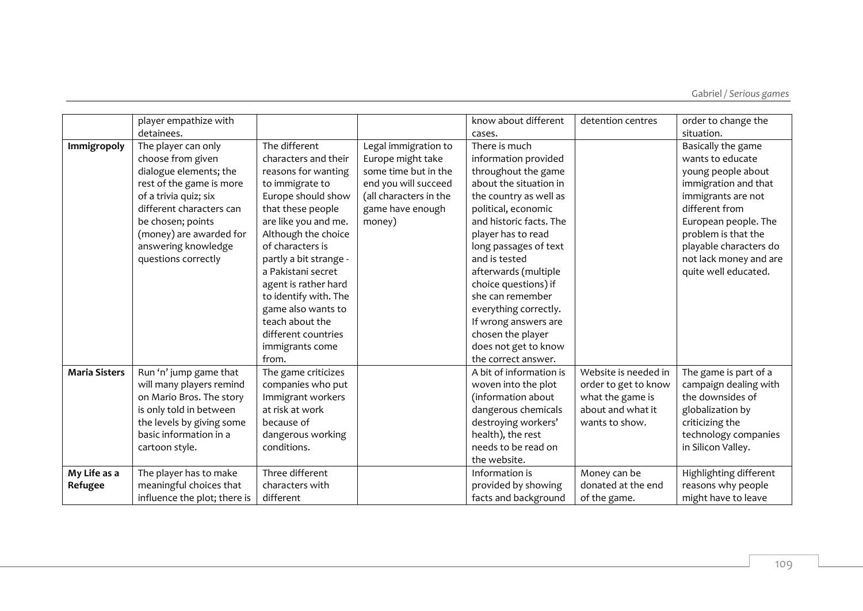Gabriel */ Serious games*

|                      | player empathize with        |                        |                        | know about different    | detention centres    | order to change the    |
|----------------------|------------------------------|------------------------|------------------------|-------------------------|----------------------|------------------------|
|                      | detainees.                   |                        |                        | cases.                  |                      | situation.             |
| Immigropoly          | The player can only          | The different          | Legal immigration to   | There is much           |                      | Basically the game     |
|                      | choose from given            | characters and their   | Europe might take      | information provided    |                      | wants to educate       |
|                      | dialogue elements; the       | reasons for wanting    | some time but in the   | throughout the game     |                      | young people about     |
|                      | rest of the game is more     | to immigrate to        | end you will succeed   | about the situation in  |                      | immigration and that   |
|                      | of a trivia quiz; six        | Europe should show     | (all characters in the | the country as well as  |                      | immigrants are not     |
|                      | different characters can     | that these people      | game have enough       | political, economic     |                      | different from         |
|                      | be chosen; points            | are like you and me.   | money)                 | and historic facts. The |                      | European people. The   |
|                      | (money) are awarded for      | Although the choice    |                        | player has to read      |                      | problem is that the    |
|                      | answering knowledge          | of characters is       |                        | long passages of text   |                      | playable characters do |
|                      | questions correctly          | partly a bit strange - |                        | and is tested           |                      | not lack money and are |
|                      |                              | a Pakistani secret     |                        | afterwards (multiple    |                      | quite well educated.   |
|                      |                              | agent is rather hard   |                        | choice questions) if    |                      |                        |
|                      |                              | to identify with. The  |                        | she can remember        |                      |                        |
|                      |                              | game also wants to     |                        | everything correctly.   |                      |                        |
|                      |                              | teach about the        |                        | If wrong answers are    |                      |                        |
|                      |                              | different countries    |                        | chosen the player       |                      |                        |
|                      |                              | immigrants come        |                        | does not get to know    |                      |                        |
|                      |                              | from.                  |                        | the correct answer.     |                      |                        |
| <b>Maria Sisters</b> | Run 'n' jump game that       | The game criticizes    |                        | A bit of information is | Website is needed in | The game is part of a  |
|                      | will many players remind     | companies who put      |                        | woven into the plot     | order to get to know | campaign dealing with  |
|                      | on Mario Bros. The story     | Immigrant workers      |                        | (information about      | what the game is     | the downsides of       |
|                      | is only told in between      | at risk at work        |                        | dangerous chemicals     | about and what it    | globalization by       |
|                      | the levels by giving some    | because of             |                        | destroying workers'     | wants to show.       | criticizing the        |
|                      | basic information in a       | dangerous working      |                        | health), the rest       |                      | technology companies   |
|                      | cartoon style.               | conditions.            |                        | needs to be read on     |                      | in Silicon Valley.     |
|                      |                              |                        |                        | the website.            |                      |                        |
| My Life as a         | The player has to make       | Three different        |                        | Information is          | Money can be         | Highlighting different |
| Refugee              | meaningful choices that      | characters with        |                        | provided by showing     | donated at the end   | reasons why people     |
|                      | influence the plot; there is | different              |                        | facts and background    | of the game.         | might have to leave    |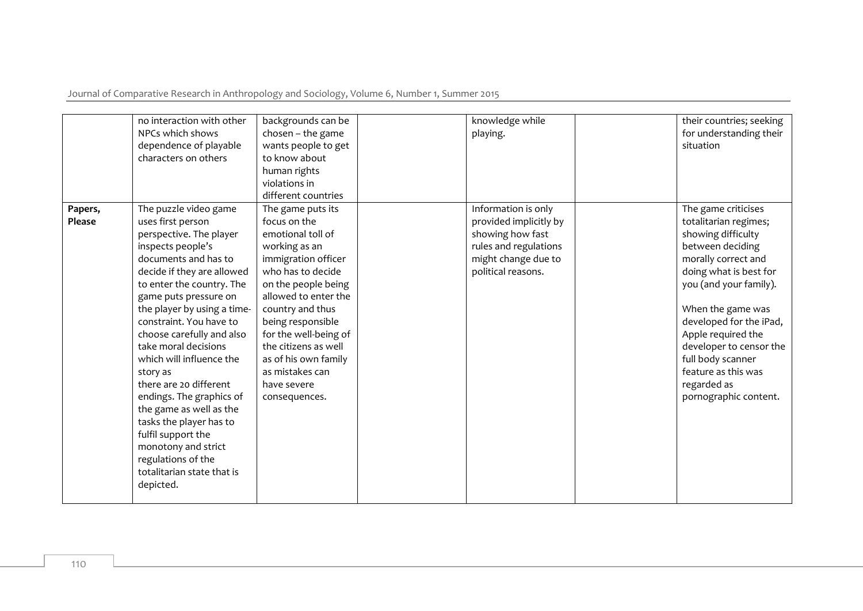Journal of Comparative Research in Anthropology and Sociology, Volume 6, Number 1, Summer 2015

|                   | no interaction with other<br>NPCs which shows<br>dependence of playable<br>characters on others                                                                                                                                                                                                                                                                                                                                                                                                                                                                                         | backgrounds can be<br>$chosen$ - the game<br>wants people to get<br>to know about<br>human rights<br>violations in<br>different countries                                                                                                                                                                                               | knowledge while<br>playing.                                                                                                             | their countries; seeking<br>for understanding their<br>situation                                                                                                                                                                                                                                                                                       |
|-------------------|-----------------------------------------------------------------------------------------------------------------------------------------------------------------------------------------------------------------------------------------------------------------------------------------------------------------------------------------------------------------------------------------------------------------------------------------------------------------------------------------------------------------------------------------------------------------------------------------|-----------------------------------------------------------------------------------------------------------------------------------------------------------------------------------------------------------------------------------------------------------------------------------------------------------------------------------------|-----------------------------------------------------------------------------------------------------------------------------------------|--------------------------------------------------------------------------------------------------------------------------------------------------------------------------------------------------------------------------------------------------------------------------------------------------------------------------------------------------------|
| Papers,<br>Please | The puzzle video game<br>uses first person<br>perspective. The player<br>inspects people's<br>documents and has to<br>decide if they are allowed<br>to enter the country. The<br>game puts pressure on<br>the player by using a time-<br>constraint. You have to<br>choose carefully and also<br>take moral decisions<br>which will influence the<br>story as<br>there are 20 different<br>endings. The graphics of<br>the game as well as the<br>tasks the player has to<br>fulfil support the<br>monotony and strict<br>regulations of the<br>totalitarian state that is<br>depicted. | The game puts its<br>focus on the<br>emotional toll of<br>working as an<br>immigration officer<br>who has to decide<br>on the people being<br>allowed to enter the<br>country and thus<br>being responsible<br>for the well-being of<br>the citizens as well<br>as of his own family<br>as mistakes can<br>have severe<br>consequences. | Information is only<br>provided implicitly by<br>showing how fast<br>rules and regulations<br>might change due to<br>political reasons. | The game criticises<br>totalitarian regimes;<br>showing difficulty<br>between deciding<br>morally correct and<br>doing what is best for<br>you (and your family).<br>When the game was<br>developed for the iPad,<br>Apple required the<br>developer to censor the<br>full body scanner<br>feature as this was<br>regarded as<br>pornographic content. |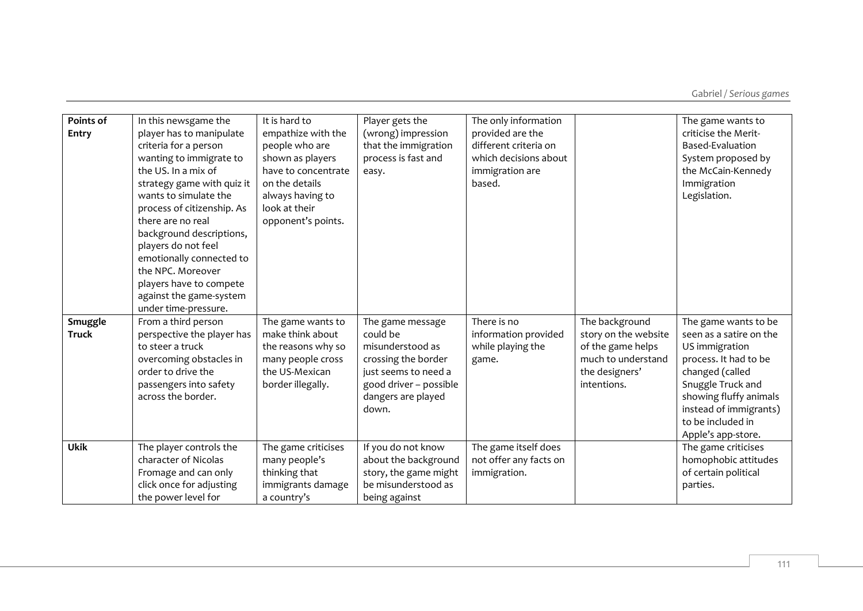| Points of<br><b>Entry</b> | In this newsgame the<br>player has to manipulate<br>criteria for a person<br>wanting to immigrate to<br>the US. In a mix of<br>strategy game with quiz it<br>wants to simulate the<br>process of citizenship. As<br>there are no real<br>background descriptions,<br>players do not feel<br>emotionally connected to<br>the NPC. Moreover<br>players have to compete<br>against the game-system<br>under time-pressure. | It is hard to<br>empathize with the<br>people who are<br>shown as players<br>have to concentrate<br>on the details<br>always having to<br>look at their<br>opponent's points. | Player gets the<br>(wrong) impression<br>that the immigration<br>process is fast and<br>easy.                                                            | The only information<br>provided are the<br>different criteria on<br>which decisions about<br>immigration are<br>based. |                                                                                                                    | The game wants to<br>criticise the Merit-<br>Based-Evaluation<br>System proposed by<br>the McCain-Kennedy<br>Immigration<br>Legislation.                                                                                          |
|---------------------------|-------------------------------------------------------------------------------------------------------------------------------------------------------------------------------------------------------------------------------------------------------------------------------------------------------------------------------------------------------------------------------------------------------------------------|-------------------------------------------------------------------------------------------------------------------------------------------------------------------------------|----------------------------------------------------------------------------------------------------------------------------------------------------------|-------------------------------------------------------------------------------------------------------------------------|--------------------------------------------------------------------------------------------------------------------|-----------------------------------------------------------------------------------------------------------------------------------------------------------------------------------------------------------------------------------|
| Smuggle<br><b>Truck</b>   | From a third person<br>perspective the player has<br>to steer a truck<br>overcoming obstacles in<br>order to drive the<br>passengers into safety<br>across the border.                                                                                                                                                                                                                                                  | The game wants to<br>make think about<br>the reasons why so<br>many people cross<br>the US-Mexican<br>border illegally.                                                       | The game message<br>could be<br>misunderstood as<br>crossing the border<br>just seems to need a<br>good driver - possible<br>dangers are played<br>down. | There is no<br>information provided<br>while playing the<br>game.                                                       | The background<br>story on the website<br>of the game helps<br>much to understand<br>the designers'<br>intentions. | The game wants to be<br>seen as a satire on the<br>US immigration<br>process. It had to be<br>changed (called<br>Snuggle Truck and<br>showing fluffy animals<br>instead of immigrants)<br>to be included in<br>Apple's app-store. |
| <b>Ukik</b>               | The player controls the<br>character of Nicolas<br>Fromage and can only<br>click once for adjusting<br>the power level for                                                                                                                                                                                                                                                                                              | The game criticises<br>many people's<br>thinking that<br>immigrants damage<br>a country's                                                                                     | If you do not know<br>about the background<br>story, the game might<br>be misunderstood as<br>being against                                              | The game itself does<br>not offer any facts on<br>immigration.                                                          |                                                                                                                    | The game criticises<br>homophobic attitudes<br>of certain political<br>parties.                                                                                                                                                   |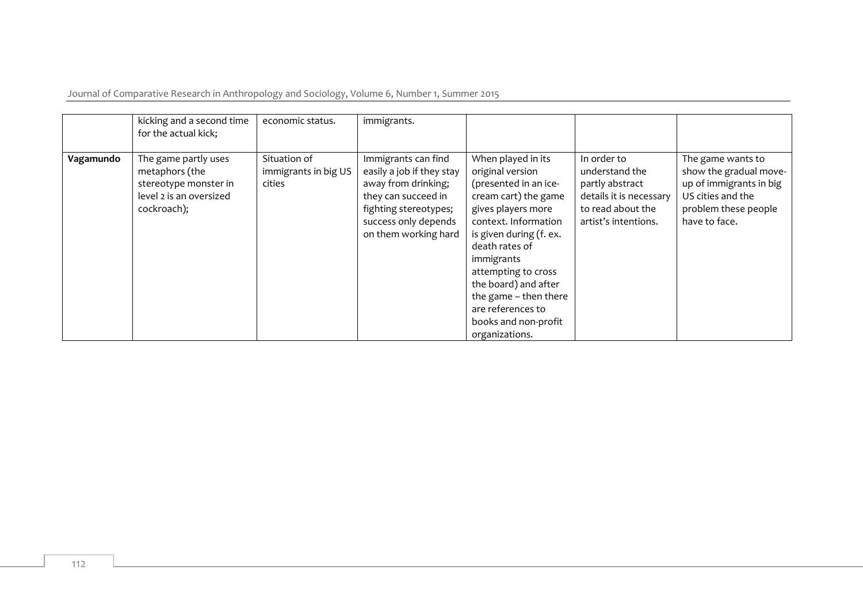Journal of Comparative Research in Anthropology and Sociology, Volume 6, Number 1, Summer 2015

|           | kicking and a second time<br>for the actual kick;                                                         | economic status.                               | immigrants.                                                                                                                                                             |                                                                                                                                                                                                                                                                                                                                         |                                                                                                                          |                                                                                                                                      |
|-----------|-----------------------------------------------------------------------------------------------------------|------------------------------------------------|-------------------------------------------------------------------------------------------------------------------------------------------------------------------------|-----------------------------------------------------------------------------------------------------------------------------------------------------------------------------------------------------------------------------------------------------------------------------------------------------------------------------------------|--------------------------------------------------------------------------------------------------------------------------|--------------------------------------------------------------------------------------------------------------------------------------|
| Vagamundo | The game partly uses<br>metaphors (the<br>stereotype monster in<br>level 2 is an oversized<br>cockroach); | Situation of<br>immigrants in big US<br>cities | Immigrants can find<br>easily a job if they stay<br>away from drinking;<br>they can succeed in<br>fighting stereotypes;<br>success only depends<br>on them working hard | When played in its<br>original version<br>(presented in an ice-<br>cream cart) the game<br>gives players more<br>context. Information<br>is given during (f. ex.<br>death rates of<br>immigrants<br>attempting to cross<br>the board) and after<br>the game - then there<br>are references to<br>books and non-profit<br>organizations. | In order to<br>understand the<br>partly abstract<br>details it is necessary<br>to read about the<br>artist's intentions. | The game wants to<br>show the gradual move-<br>up of immigrants in big<br>US cities and the<br>problem these people<br>have to face. |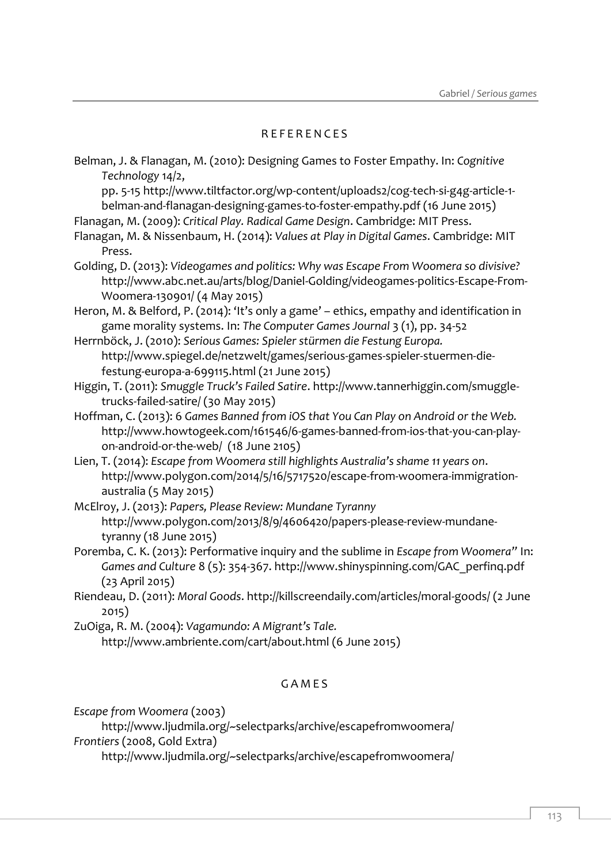## R E F E R E N C E S

Belman, J. & Flanagan, M. (2010): Designing Games to Foster Empathy. In: *Cognitive Technology* 14/2,

pp. 5-15 http://www.tiltfactor.org/wp-content/uploads2/cog-tech-si-g4g-article-1 belman-and-flanagan-designing-games-to-foster-empathy.pdf (16 June 2015)

Flanagan, M. (2009): *Critical Play. Radical Game Design*. Cambridge: MIT Press.

Flanagan, M. & Nissenbaum, H. (2014): *Values at Play in Digital Games*. Cambridge: MIT Press.

Golding, D. (2013): *Videogames and politics: Why was Escape From Woomera so divisive?* [http://www.abc.net.au/arts/blog/Daniel-Golding/videogames-politics-Escape-From-](http://www.abc.net.au/arts/blog/Daniel-Golding/videogames-politics-Escape-From-Woomera-130901/)[Woomera-130901/](http://www.abc.net.au/arts/blog/Daniel-Golding/videogames-politics-Escape-From-Woomera-130901/) (4 May 2015)

Heron, M. & Belford, P. (2014): 'It's only a game' – ethics, empathy and identification in game morality systems. In: *The Computer Games Journal* 3 (1), pp. 34-52

Herrnböck, J. (2010): *Serious Games: Spieler stürmen die Festung Europa.* http://www.spiegel.de/netzwelt/games/serious-games-spieler-stuermen-diefestung-europa-a-699115.html (21 June 2015)

Higgin, T. (2011): *Smuggle Truck's Failed Satire*. http://www.tannerhiggin.com/smuggletrucks-failed-satire/ (30 May 2015)

Hoffman, C. (2013): 6 *Games Banned from iOS that You Can Play on Android or the Web.* [http://www.howtogeek.com/161546/6-games-banned-from-ios-that-you-can-play](http://www.howtogeek.com/161546/6-games-banned-from-ios-that-you-can-play-on-android-or-the-web/)[on-android-or-the-web/](http://www.howtogeek.com/161546/6-games-banned-from-ios-that-you-can-play-on-android-or-the-web/) (18 June 2105)

Lien, T. (2014): *Escape from Woomera still highlights Australia's shame 11 years on*. [http://www.polygon.com/2014/5/16/5717520/escape-from-woomera-immigration](http://www.polygon.com/2014/5/16/5717520/escape-from-woomera-immigration-australia)[australia](http://www.polygon.com/2014/5/16/5717520/escape-from-woomera-immigration-australia) (5 May 2015)

McElroy, J. (2013): *Papers, Please Review: Mundane Tyranny* [http://www.polygon.com/2013/8/9/4606420/papers-please-review-mundane](http://www.polygon.com/2013/8/9/4606420/papers-please-review-mundane-tyranny)[tyranny](http://www.polygon.com/2013/8/9/4606420/papers-please-review-mundane-tyranny) (18 June 2015)

Poremba, C. K. (2013): Performative inquiry and the sublime in *Escape from Woomera"* In: *Games and Culture* 8 (5): 354-367. http://www.shinyspinning.com/GAC\_perfinq.pdf (23 April 2015)

Riendeau, D. (2011): *Moral Goods*[. http://killscreendaily.com/articles/moral-goods/](http://killscreendaily.com/articles/moral-goods/) (2 June 2015)

ZuOiga, R. M. (2004): *Vagamundo: A Migrant's Tale.* [http://www.ambriente.com/cart/about.html \(6](http://www.ambriente.com/cart/about.html%20(6) June 2015)

# **GAMES**

*Escape from Woomera* (2003)

http://www.ljudmila.org/~selectparks/archive/escapefromwoomera/ *Frontiers* (2008, Gold Extra)

http://www.ljudmila.org/~selectparks/archive/escapefromwoomera/